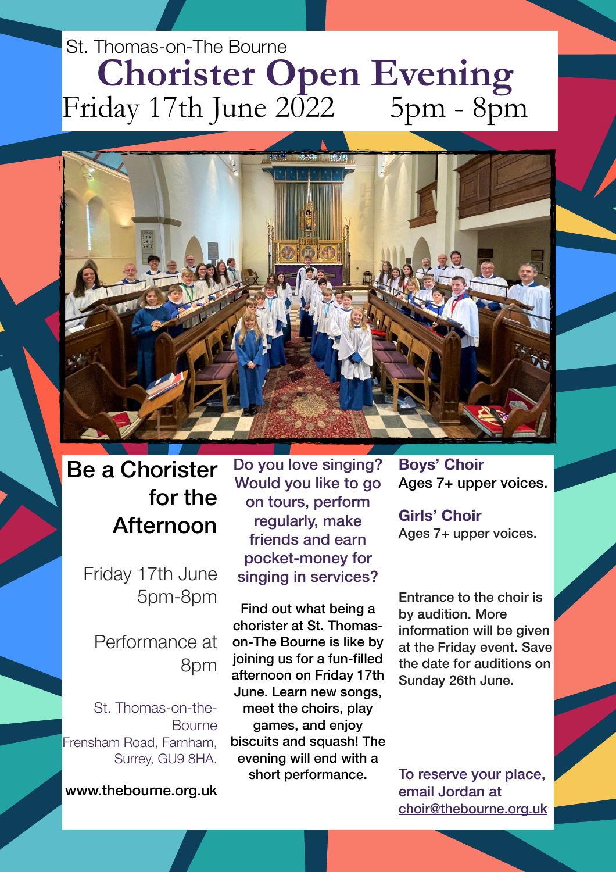## St. Thomas-on-The Bourne **Chorister Open Evening**<br>day 17th June 2022 5pm - 8pm Friday 17th June  $2\overline{0}22$



## Be a Chorister for the Afternoon

Friday 17th June 5pm-8pm

Performance at 8pm

St. Thomas-on-the-Bourne Frensham Road, Farnham, Surrey, GU9 8HA.

www.thebourne.org.uk

Do you love singing? Would you like to go on tours, perform regularly, make friends and earn pocket-money for singing in services?

Find out what being a chorister at St. Thomason-The Bourne is like by joining us for a fun-filled afternoon on Friday 17th June. Learn new songs, meet the choirs, play games, and enjoy biscuits and squash! The evening will end with a short performance.

**Boys' Choir** Ages 7+ upper voices.

**Girls' Choir**  Ages 7+ upper voices.

Entrance to the choir is by audition. More information will be given at the Friday event. Save the date for auditions on Sunday 26th June.

To reserve your place, email Jordan at [choir@thebourne.org.uk](mailto:choir@thebourne.org.uk)